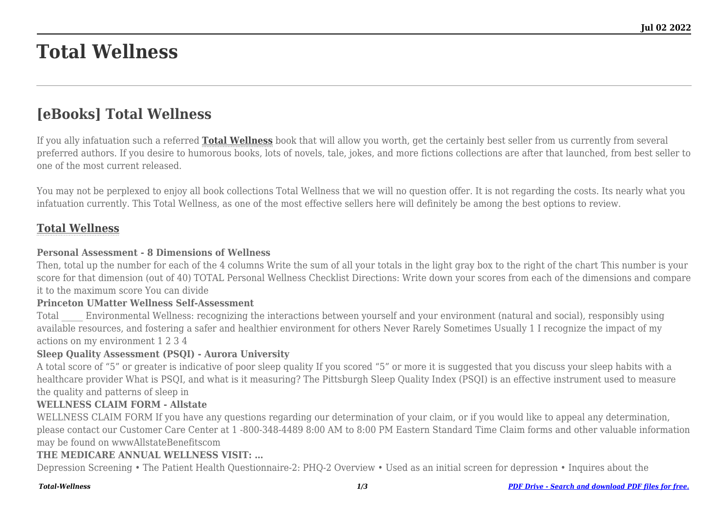# **Total Wellness**

## **[eBooks] Total Wellness**

If you ally infatuation such a referred **[Total Wellness](http://theknottedllama.com)** book that will allow you worth, get the certainly best seller from us currently from several preferred authors. If you desire to humorous books, lots of novels, tale, jokes, and more fictions collections are after that launched, from best seller to one of the most current released.

You may not be perplexed to enjoy all book collections Total Wellness that we will no question offer. It is not regarding the costs. Its nearly what you infatuation currently. This Total Wellness, as one of the most effective sellers here will definitely be among the best options to review.

#### **[Total Wellness](http://theknottedllama.com/Total-Wellness.pdf)**

#### **Personal Assessment - 8 Dimensions of Wellness**

Then, total up the number for each of the 4 columns Write the sum of all your totals in the light gray box to the right of the chart This number is your score for that dimension (out of 40) TOTAL Personal Wellness Checklist Directions: Write down your scores from each of the dimensions and compare it to the maximum score You can divide

#### **Princeton UMatter Wellness Self-Assessment**

Total \_\_\_\_\_ Environmental Wellness: recognizing the interactions between yourself and your environment (natural and social), responsibly using available resources, and fostering a safer and healthier environment for others Never Rarely Sometimes Usually 1 I recognize the impact of my actions on my environment 1 2 3 4

#### **Sleep Quality Assessment (PSQI) - Aurora University**

A total score of "5" or greater is indicative of poor sleep quality If you scored "5" or more it is suggested that you discuss your sleep habits with a healthcare provider What is PSQI, and what is it measuring? The Pittsburgh Sleep Quality Index (PSQI) is an effective instrument used to measure the quality and patterns of sleep in

#### **WELLNESS CLAIM FORM - Allstate**

WELLNESS CLAIM FORM If you have any questions regarding our determination of your claim, or if you would like to appeal any determination, please contact our Customer Care Center at 1 -800-348-4489 8:00 AM to 8:00 PM Eastern Standard Time Claim forms and other valuable information may be found on wwwAllstateBenefitscom

#### **THE MEDICARE ANNUAL WELLNESS VISIT: …**

Depression Screening • The Patient Health Questionnaire-2: PHQ-2 Overview • Used as an initial screen for depression • Inquires about the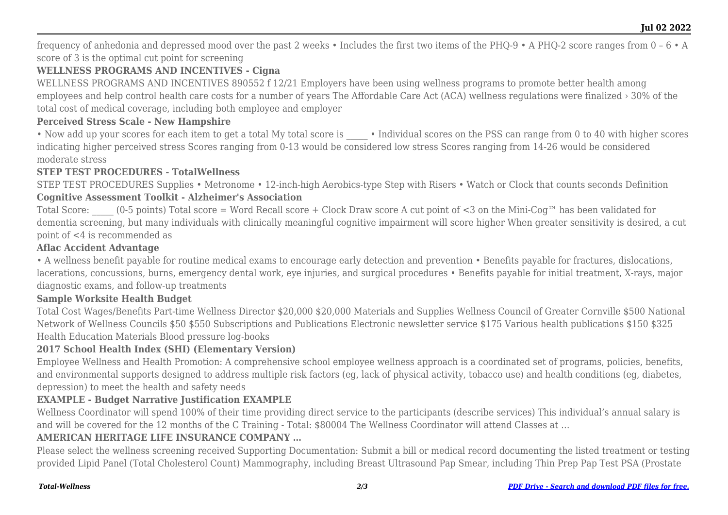frequency of anhedonia and depressed mood over the past 2 weeks • Includes the first two items of the PHQ-9 • A PHQ-2 score ranges from 0 – 6 • A score of 3 is the optimal cut point for screening

#### **WELLNESS PROGRAMS AND INCENTIVES - Cigna**

WELLNESS PROGRAMS AND INCENTIVES 890552 f 12/21 Employers have been using wellness programs to promote better health among employees and help control health care costs for a number of years The Affordable Care Act (ACA) wellness regulations were finalized › 30% of the total cost of medical coverage, including both employee and employer

#### **Perceived Stress Scale - New Hampshire**

• Now add up your scores for each item to get a total My total score is • Individual scores on the PSS can range from 0 to 40 with higher scores indicating higher perceived stress Scores ranging from 0-13 would be considered low stress Scores ranging from 14-26 would be considered moderate stress

#### **STEP TEST PROCEDURES - TotalWellness**

STEP TEST PROCEDURES Supplies • Metronome • 12-inch-high Aerobics-type Step with Risers • Watch or Clock that counts seconds Definition

#### **Cognitive Assessment Toolkit - Alzheimer's Association**

Total Score:  $(0-5 \text{ points})$  Total score = Word Recall score + Clock Draw score A cut point of <3 on the Mini-Cog<sup>™</sup> has been validated for dementia screening, but many individuals with clinically meaningful cognitive impairment will score higher When greater sensitivity is desired, a cut point of <4 is recommended as

#### **Aflac Accident Advantage**

• A wellness benefit payable for routine medical exams to encourage early detection and prevention • Benefits payable for fractures, dislocations, lacerations, concussions, burns, emergency dental work, eye injuries, and surgical procedures • Benefits payable for initial treatment, X-rays, major diagnostic exams, and follow-up treatments

#### **Sample Worksite Health Budget**

Total Cost Wages/Benefits Part-time Wellness Director \$20,000 \$20,000 Materials and Supplies Wellness Council of Greater Cornville \$500 National Network of Wellness Councils \$50 \$550 Subscriptions and Publications Electronic newsletter service \$175 Various health publications \$150 \$325 Health Education Materials Blood pressure log-books

#### **2017 School Health Index (SHI) (Elementary Version)**

Employee Wellness and Health Promotion: A comprehensive school employee wellness approach is a coordinated set of programs, policies, benefits, and environmental supports designed to address multiple risk factors (eg, lack of physical activity, tobacco use) and health conditions (eg, diabetes, depression) to meet the health and safety needs

### **EXAMPLE - Budget Narrative Justification EXAMPLE**

Wellness Coordinator will spend 100% of their time providing direct service to the participants (describe services) This individual's annual salary is and will be covered for the 12 months of the C Training - Total: \$80004 The Wellness Coordinator will attend Classes at …

#### **AMERICAN HERITAGE LIFE INSURANCE COMPANY …**

Please select the wellness screening received Supporting Documentation: Submit a bill or medical record documenting the listed treatment or testing provided Lipid Panel (Total Cholesterol Count) Mammography, including Breast Ultrasound Pap Smear, including Thin Prep Pap Test PSA (Prostate